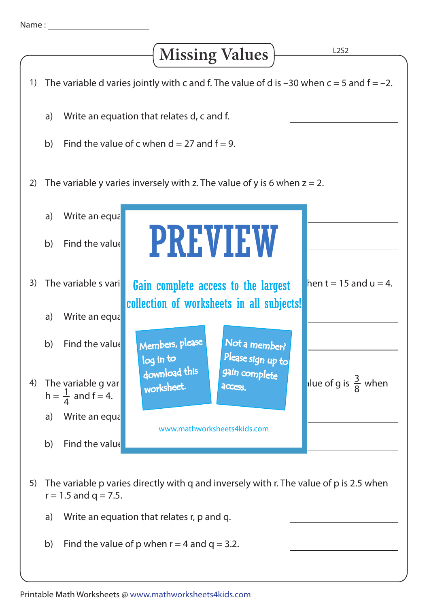